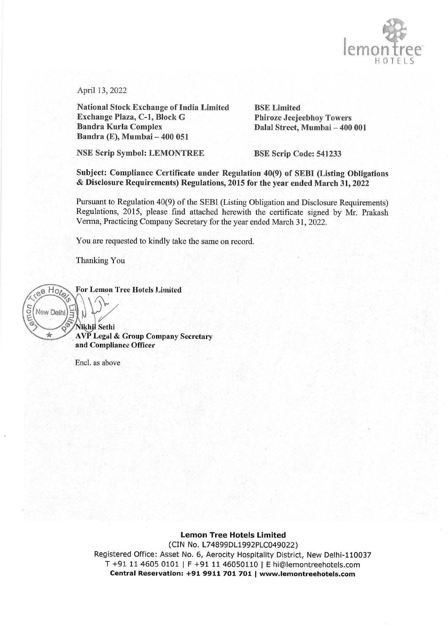

April 13, 2022

National Stock Exchange of India Limited BSE Limited Exchange Plaza, C-1, Block G Phiroze Jeejeebhoy Towers Bandra Kurla Complex Dalal Street, Mumbai — 400 001 Bandra (E), Mumbai -- 400 051

NSE Scrip Symbol: LEMONTREE BSE Scrip Code: 541233

Subject: Compliance Certificate under Regulation 40(9) of SEBI (Listing Obligations & Disclosure Requirements) Regulations, 2015 for the year ended March 31, 2022

Pursuant to Regulation 40(9) of the SEBI (Listing Obligation and Disclosure Requirements) Regulations, 2015, please find attached herewith the certificate signed by Mr. Prakash Verma, Practicing Company Secretary for the year ended March 31, 2022.

You are requested to kindly take the same on record.

Thanking You



Encl. as above

Lemon Tree Hotels Limited

(CIN No, L74899DL1992PLC049022) Registered Office: Asset No. 6, Aerocity Hospitality District, New Delhi-110037 T +91 114605 0101 | F +91 11 46050110 | E hi@lemontreehotels.com Central Reservation: +91 9911 701 701 | www.lemontreehotels.com